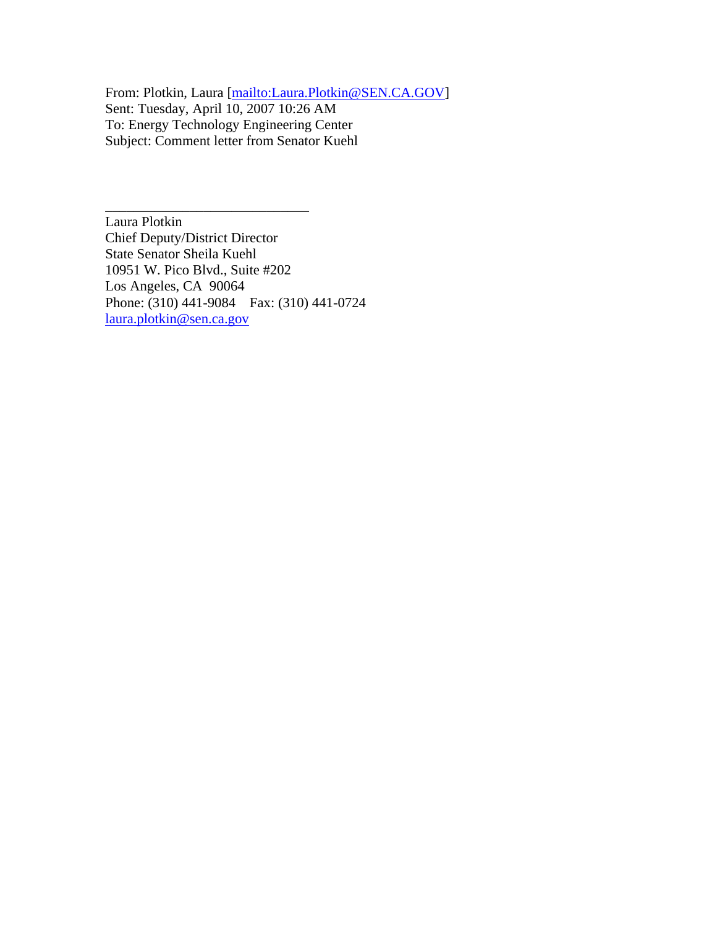From: Plotkin, Laura [mailto:Laura.Plotkin@SEN.CA.GOV] Sent: Tuesday, April 10, 2007 10:26 AM To: Energy Technology Engineering Center Subject: Comment letter from Senator Kuehl

Laura Plotkin Chief Deputy/District Director State Senator Sheila Kuehl 10951 W. Pico Blvd., Suite #202 Los Angeles, CA 90064 Phone: (310) 441-9084 Fax: (310) 441-0724 laura.plotkin@sen.ca.gov

\_\_\_\_\_\_\_\_\_\_\_\_\_\_\_\_\_\_\_\_\_\_\_\_\_\_\_\_\_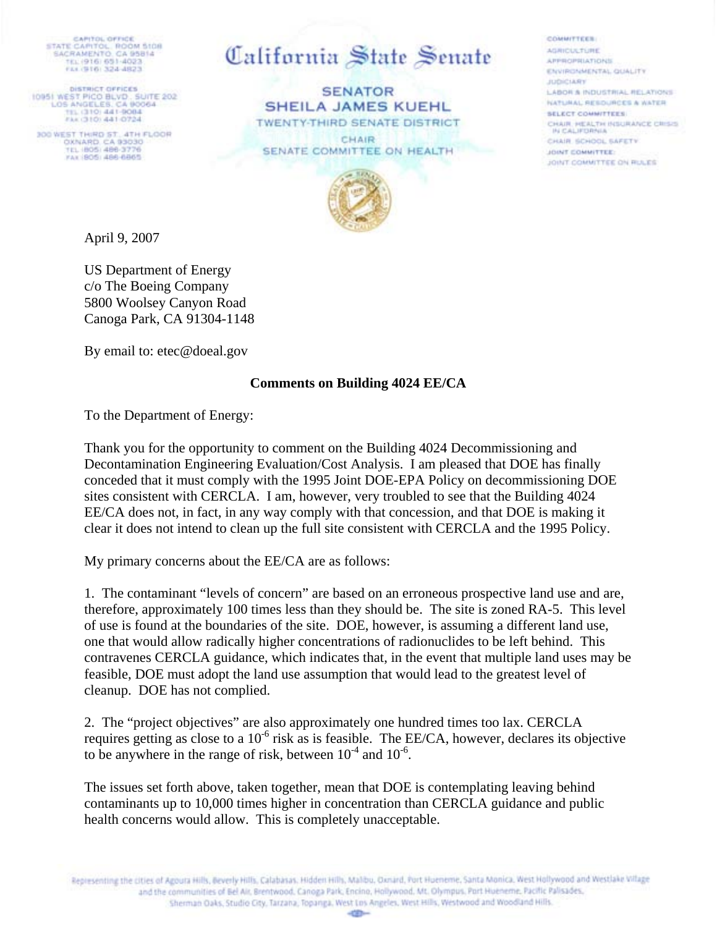CAPITOL OFFICE<br>STATE CAPITOL ROOM SIGH<br>SACRAMENTO, CA 95814 TEL (916) 651-4022 FEATHERS 324-4823

DISTRICT OFFICES<br>10951 WEST PICO BLVD, SUITE 202<br>LOS ANGELES, CA (90064<br>TIL (310) 441-9004 FAK (310) 441-0724

300 WEST THIRD ST. 4TH FLOOR<br>OXNARD, CA 93030<br>TEL (805) 486-3776 FAX 805/486-6865

California State Senate

COMMITTEEN

AGRICULTURE

JUDICIARY

**APPROPRIATIONS** 

**SELECT COMMITTEES** 

CHAIR SCHOOL SAFETY

JOINT COMMITTEE ON RULES

IN CALIFORNIA

JOINT COMMITTEE:

ENVIRONMENTAL QUALITY

LABOR & INDUSTRIAL RELATIONS NATURAL RESOURCES & WATER

CHAIR, HEALTH INSURANCE CRISIS

**SENATOR SHEILA JAMES KUEHL TWENTY-THIRD SENATE DISTRICT** 

CHAIR SENATE COMMITTEE ON HEALTH



April 9, 2007

US Department of Energy c/o The Boeing Company 5800 Woolsey Canyon Road Canoga Park, CA 91304-1148

By email to: etec@doeal.gov

## **Comments on Building 4024 EE/CA**

To the Department of Energy:

Thank you for the opportunity to comment on the Building 4024 Decommissioning and Decontamination Engineering Evaluation/Cost Analysis. I am pleased that DOE has finally conceded that it must comply with the 1995 Joint DOE-EPA Policy on decommissioning DOE sites consistent with CERCLA. I am, however, very troubled to see that the Building 4024 EE/CA does not, in fact, in any way comply with that concession, and that DOE is making it clear it does not intend to clean up the full site consistent with CERCLA and the 1995 Policy.

My primary concerns about the EE/CA are as follows:

1. The contaminant "levels of concern" are based on an erroneous prospective land use and are, therefore, approximately 100 times less than they should be. The site is zoned RA-5. This level of use is found at the boundaries of the site. DOE, however, is assuming a different land use, one that would allow radically higher concentrations of radionuclides to be left behind. This contravenes CERCLA guidance, which indicates that, in the event that multiple land uses may be feasible, DOE must adopt the land use assumption that would lead to the greatest level of cleanup. DOE has not complied.

2. The "project objectives" are also approximately one hundred times too lax. CERCLA requires getting as close to a 10-6 risk as is feasible. The EE/CA, however, declares its objective to be anywhere in the range of risk, between  $10^{-4}$  and  $10^{-6}$ .

The issues set forth above, taken together, mean that DOE is contemplating leaving behind contaminants up to 10,000 times higher in concentration than CERCLA guidance and public health concerns would allow. This is completely unacceptable.

Representing the cities of Agouta Hills, Beverly Hills, Calabasas, Hidden Hills, Malibu, Danard, Port Hueneme, Santa Monica. West Hollywood and Westlake Village and the communities of Bel Air, Brentwood, Canoga Park, Encino, Hollywood, Mt. Olympus, Port Hueneme, Pacific Palisades, Sherman Oaks, Studio City, Tarzana, Topanga, West Los Angeles, West Hills, Westwood and Woodland Hills.

 $-120-$